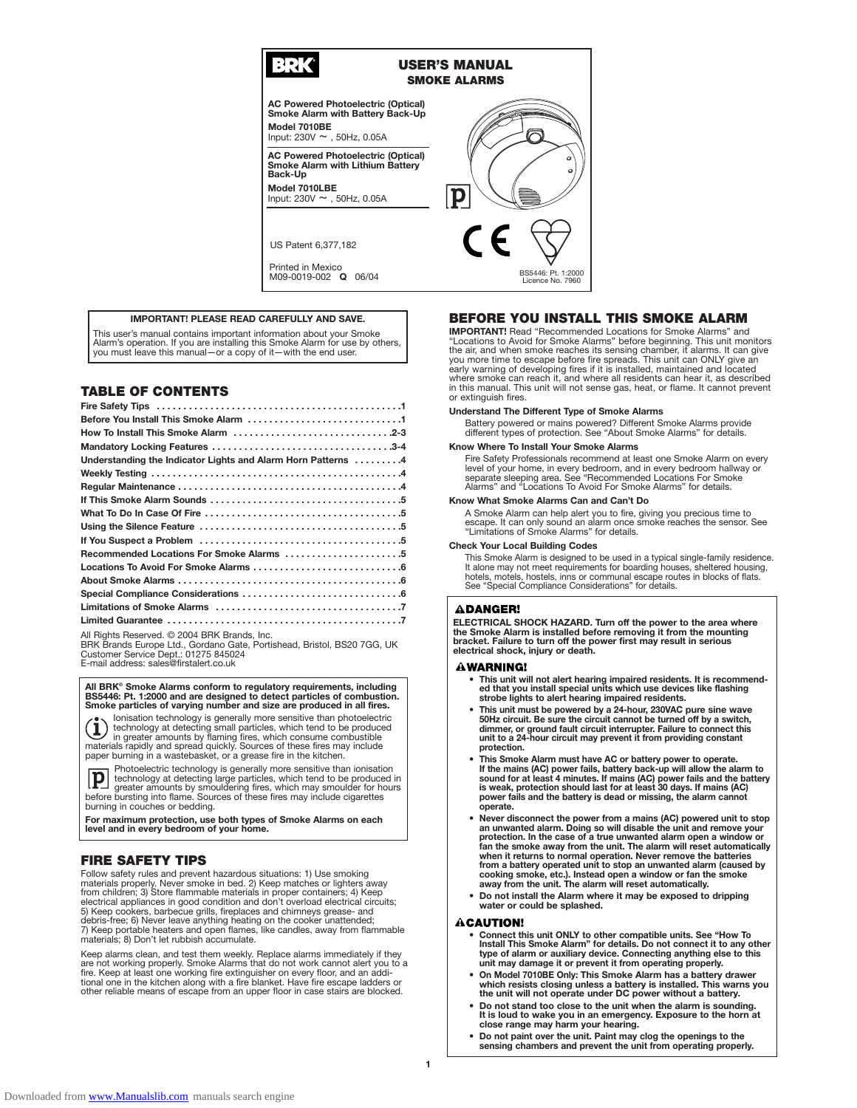# 29

### **USER'S MANUAL SMOKE ALARMS**

**AC Powered Photoelectric (Optical) Smoke Alarm with Battery Back-Up Model 7010BE** Input:  $230V \sim 0.50$ Hz,  $0.05A$ 

**AC Powered Photoelectric (Optical) Smoke Alarm with Lithium Battery Back-Up**

**Model 7010LBE** Input: 230V ~ , 50Hz, 0.05A

US Patent 6,377,182

Printed in Mexico M09-0019-002 **Q** 06/04

### **IMPORTANT! PLEASE READ CAREFULLY AND SAVE.**

This user's manual contains important information about your Smoke Alarm's operation. If you are installing this Smoke Alarm for use by others, you must leave this manual—or a copy of it—with the end user.

# **TABLE OF CONTENTS**

| Understanding the Indicator Lights and Alarm Horn Patterns 4 |
|--------------------------------------------------------------|
|                                                              |
|                                                              |
|                                                              |
|                                                              |
|                                                              |
|                                                              |
| Recommended Locations For Smoke Alarms 5                     |
|                                                              |
|                                                              |
|                                                              |
|                                                              |
|                                                              |

All Rights Reserved. © 2004 BRK Brands, Inc.

BRK Brands Europe Ltd., Gordano Gate, Portishead, Bristol, BS20 7GG, UK Customer Service Dept.: 01275 845024

E-mail address: sales@firstalert.co.uk

**All BRK® Smoke Alarms conform to regulatory requirements, including BS5446: Pt. 1:2000 and are designed to detect particles of combustion. Smoke particles of varying number and size are produced in all fires.**

(i) lonisation technology is generally more sensitive than photoelectric<br>technology at detecting small particles, which tend to be produced<br>materials rapidly and spread quickly. Sources of these fires may include<br>paper bur



Photoelectric technology is generally more sensitive than ionisation technology at detecting large particles, which tend to be produced in greater amounts by smouldering fires, which may smoulder for hours before bursting into flame. Sources of these fires may include cigarettes burning in couches or bedding.

**For maximum protection, use both types of Smoke Alarms on each level and in every bedroom of your home.**

# **FIRE SAFETY TIPS**

Follow safety rules and prevent hazardous situations: 1) Use smoking materials properly. Never smoke in bed. 2) Keep matches or lighters away from children; 3) Store flammable materials in proper containers; 4) Keep<br>electrical appliances in good condition and don't overload electrical circuits;<br>5) Keep cookers, barbecue grills, fireplaces and chimneys grease- an debris-free; 6) Never leave anything heating on the cooker unattended; 7) Keep portable heaters and open flames, like candles, away from flammable materials; 8) Don't let rubbish accumulate.

Keep alarms clean, and test them weekly. Replace alarms immediately if they are not working properly. Smoke Alarms that do not work cannot alert you to a<br>fire. Keep at least one working fire extinguisher on every floor, and an addi-<br>tional one in the kitchen along with a fire blanket. Have fire es other reliable means of escape from an upper floor in case stairs are blocked.



# **BEFORE YOU INSTALL THIS SMOKE ALARM**

**IMPORTANT!** Read "Recommended Locations for Smoke Alarms" and "Locations to Avoid for Smoke Alarms" before beginning. This unit monitors the air, and when smoke reaches its sensing chamber, it alarms. It can give you more where smoke can reach it, and where all residents can hear it, as described in this manual. This unit will not sense gas, heat, or flame. It cannot prevent or extinguish fires.

#### **Understand The Different Type of Smoke Alarms**

Battery powered or mains powered? Different Smoke Alarms provide different types of protection. See "About Smoke Alarms" for details.

# **Know Where To Install Your Smoke Alarms**

Fire Safety Professionals recommend at least one Smoke Alarm on every level of your home, in every bedroom, and in every bedroom hallway or separate sleeping area. See "Recommended Locations For Smoke Alarms" and "Locations To Avoid For Smoke Alarms" for details.

#### **Know What Smoke Alarms Can and Can't Do**

A Smoke Alarm can help alert you to fire, giving you precious time to<br>escape. It can only sound an alarm once smoke reaches the sensor. See<br>"Limitations of Smoke Alarms" for details.

#### **Check Your Local Building Codes**

This Smoke Alarm is designed to be used in a typical single-family residence. It alone may not meet requirements for boarding houses, sheltered housing,<br>hotels, motels, hostels, inns or communal escape routes in blocks of flats.<br>See "Special Compliance Considerations" for details.

#### **ADANGER!**

**ELECTRICAL SHOCK HAZARD. Turn off the power to the area where the Smoke Alarm is installed before removing it from the mounting bracket. Failure to turn off the power first may result in serious electrical shock, injury or death.**

#### **AWARNING!**

- **This unit will not alert hearing impaired residents. It is recommend-ed that you install special units which use devices like flashing strobe lights to alert hearing impaired residents.**
- **This unit must be powered by a 24-hour, 230VAC pure sine wave 50Hz circuit. Be sure the circuit cannot be turned off by a switch, dimmer, or ground fault circuit interrupter. Failure to connect this unit to a 24-hour circuit may prevent it from providing constant protection.**
- This Smoke Alarm must have AC or battery power to operate.<br>If the mains (AC) power fails, battery back-up will allow the alarm to<br>sound for at least 4 minutes. If mains (AC) power fails and the battery<br>is weak, protectio **power fails and the battery is dead or missing, the alarm cannot operate.**
- **Never disconnect the power from a mains (AC) powered unit to stop an unwanted alarm. Doing so will disable the unit and remove your protection. In the case of a true unwanted alarm open a window or fan the smoke away from the unit. The alarm will reset automatically when it returns to normal operation. Never remove the batteries** from a battery operated unit to stop an unwanted alarm (caused by<br>cooking smoke, etc.). Instead open a window or fan the smoke<br>away from the unit. The alarm will reset automatically.
- **Do not install the Alarm where it may be exposed to dripping water or could be splashed.**

#### **ACAUTION!**

- **Connect this unit ONLY to other compatible units. See "How To** Install This Smoke Alarm" for details. Do not connect it to any other<br>type of alarm or auxiliary device. Connecting anything else to this<br>unit may damage it or prevent it from operating properly.
- **On Model 7010BE Only: This Smoke Alarm has a battery drawer which resists closing unless a battery is installed. This warns you the unit will not operate under DC power without a battery.**
- **Do not stand too close to the unit when the alarm is sounding. It is loud to wake you in an emergency. Exposure to the horn at close range may harm your hearing.**
- **Do not paint over the unit. Paint may clog the openings to the sensing chambers and prevent the unit from operating properly.**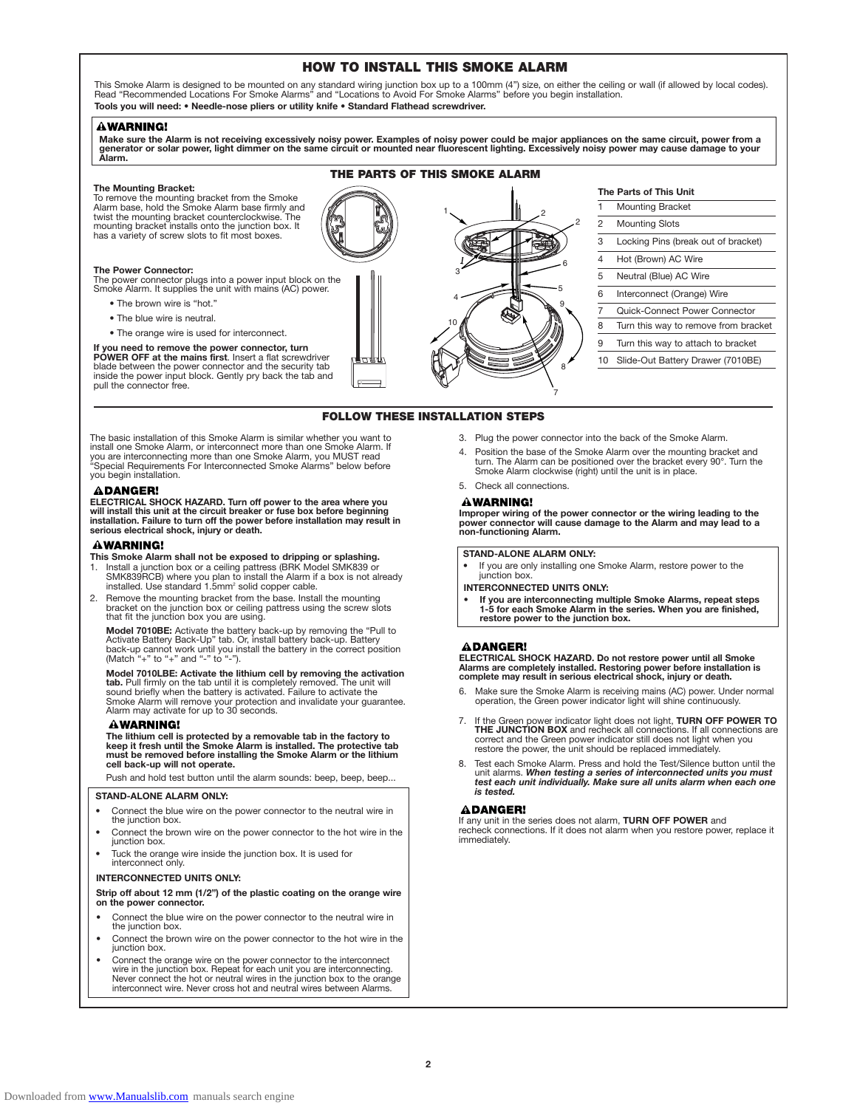# **HOW TO INSTALL THIS SMOKE ALARM**

This Smoke Alarm is designed to be mounted on any standard wiring junction box up to a 100mm (4") size, on either the ceiling or wall (if allowed by local codes).<br>Read "Recommended Locations For Smoke Alarms" and "Location **Tools you will need: • Needle-nose pliers or utility knife** • **Standard Flathead screwdriver.**

#### **AWARNING!**

Make sure the Alarm is not receiving excessively noisy power. Examples of noisy power could be major appliances on the same circuit, power from a<br>generator or solar power, light dimmer on the same circuit or mounted near f **Alarm.**

**THE PARTS OF THIS SMOKE ALARM**

**FOLLOW THESE INSTALLATION STEPS**

#### **The Mounting Bracket:**

To remove the mounting bracket from the Smoke Alarm base, hold the Smoke Alarm base firmly and twist the mounting bracket counterclockwise. The mounting bracket installs onto the junction box. It has a variety of screw slots to fit most boxes.

#### **The Power Connector:**

The power connector plugs into a power input block on the Smoke Alarm. It supplies the unit with mains (AC) power.

- The brown wire is "hot."
- The blue wire is neutral.
- The orange wire is used for interconnect.

**If you need to remove the power connector, turn POWER OFF at the mains first**. Insert a flat screwdriver blade between the power connector and the security tab inside the power input block. Gently pry back the tab and pull the connector free.

The basic installation of this Smoke Alarm is similar whether you want to install one Smoke Alarm, or interconnect more than one Smoke Alarm. If you are interconnecting more than one Smoke Alarm, you MUST read "Special Requirements For Interconnected Smoke Alarms" below before you begin installation.

### **ADANGER!**

**ELECTRICAL SHOCK HAZARD. Turn off power to the area where you will install this unit at the circuit breaker or fuse box before beginning installation. Failure to turn off the power before installation may result in serious electrical shock, injury or death.**

#### **AWARNING!**

- **This Smoke Alarm shall not be exposed to dripping or splashing.**
- 1. Install a junction box or a ceiling pattress (BRK Model SMK839 or<br>SMK839RCB) where you plan to install the Alarm if a box is not already<br>installed. Use standard 1.5mm² solid copper cable.
- Remove the mounting bracket from the base. Install the mounting bracket on the junction box or ceiling pattress using the screw slots that fit the junction box you are using.

**Model 7010BE:** Activate the battery back-up by removing the "Pull to Activate Battery Back-Up" tab. Or, install battery back-up. Battery back-up cannot work until you install the battery in the correct position<br>(Match "+" to "+" and "-" to "-").

Model 7010LBE: Activate the lithium cell by removing the activation<br>tab. Pull firmly on the tab until it is completely removed. The unit will<br>sound briefly when the battery is activated. Failure to activate the<br>Smoke Alarm

#### **AWARNING!**

**The lithium cell is protected by a removable tab in the factory to keep it fresh until the Smoke Alarm is installed. The protective tab must be removed before installing the Smoke Alarm or the lithium cell back-up will not operate.**

Push and hold test button until the alarm sounds: beep, beep, beep...

#### **STAND-ALONE ALARM ONLY:**

- Connect the blue wire on the power connector to the neutral wire in the junction box.
- Connect the brown wire on the power connector to the hot wire in the junction box.
- Tuck the orange wire inside the junction box. It is used for interconnect only.

#### **INTERCONNECTED UNITS ONLY:**

**Strip off about 12 mm (1/2") of the plastic coating on the orange wire on the power connector.**

- Connect the blue wire on the power connector to the neutral wire in the junction box.
- Connect the brown wire on the power connector to the hot wire in the junction box.
- Connect the orange wire on the power connector to the interconnect wire in the junction box. Repeat for each unit you are interconnecting. Never connect the hot or neutral wires in the junction box to the orange interconnect wire. Never cross hot and neutral wires between Alarms.



7

4. Position the base of the Smoke Alarm over the mounting bracket and turn. The Alarm can be positioned over the bracket every 90°. Turn the Smoke Alarm clockwise (right) until the unit is in place. 5. Check all connections.

**Mounting Bracket** 

7 Quick-Connect Power Connector

# **AWARNING!**

**Improper wiring of the power connector or the wiring leading to the power connector will cause damage to the Alarm and may lead to a non-functioning Alarm.**

#### **STAND-ALONE ALARM ONLY:**

If you are only installing one Smoke Alarm, restore power to the junction box.

#### **INTERCONNECTED UNITS ONLY:**

**• If you are interconnecting multiple Smoke Alarms, repeat steps 1-5 for each Smoke Alarm in the series. When you are finished, restore power to the junction box.**

#### **ADANGER!**

**ELECTRICAL SHOCK HAZARD. Do not restore power until all Smoke Alarms are completely installed. Restoring power before installation is complete may result in serious electrical shock, injury or death.**

- 6. Make sure the Smoke Alarm is receiving mains (AC) power. Under normal operation, the Green power indicator light will shine continuously.
- 7. If the Green power indicator light does not light, **TURN OFF POWER TO THE JUNCTION BOX** and recheck all connections. If all connections are correct and the Green power indicator still does not light when you restore the power, the unit should be replaced immediately.
- 8. Test each Smoke Alarm. Press and hold the Test/Silence button until the unit alarms. *When testing a series of interconnected units you must test each unit individually. Make sure all units alarm when each one is tested.*

#### **ADANGER!**

**2**

If any unit in the series does not alarm, **TURN OFF POWER** and

recheck connections. If it does not alarm when you restore power, replace it immediately.



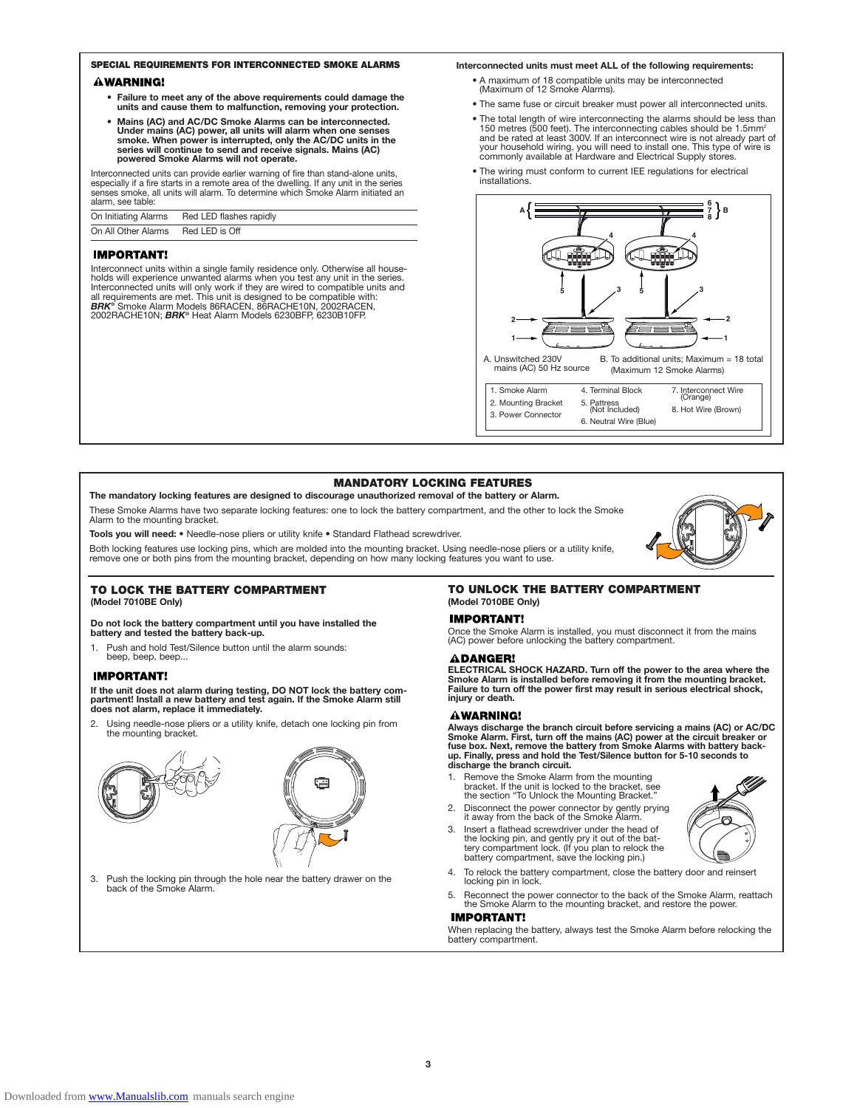# **SPECIAL REQUIREMENTS FOR INTERCONNECTED SMOKE ALARMS**

### **AWARNING!**

- **Failure to meet any of the above requirements could damage the units and cause them to malfunction, removing your protection.**
- **Mains (AC) and AC/DC Smoke Alarms can be interconnected. Under mains (AC) power, all units will alarm when one senses smoke. When power is interrupted, only the AC/DC units in the series will continue to send and receive signals. Mains (AC) powered Smoke Alarms will not operate.**

Interconnected units can provide earlier warning of fire than stand-alone units, especially if a fire starts in a remote area of the dwelling. If any unit in the series senses smoke, all units will alarm. To determine which Smoke Alarm initiated an alarm, see table:

| On Initiating Alarms | Red LED flashes rapidly |
|----------------------|-------------------------|
| On All Other Alarms  | Red LED is Off          |

#### **IMPORTANT!**

Interconnect units within a single family residence only. Otherwise all households will experience unwanted alarms when you test any unit in the series.<br>Interconnected units will only work if they are wired to compatible u 2002RACHE10N; *BRK®* Heat Alarm Models 6230BFP, 6230B10FP.

#### **Interconnected units must meet ALL of the following requirements:**

- A maximum of 18 compatible units may be interconnected (Maximum of 12 Smoke Alarms).
- The same fuse or circuit breaker must power all interconnected units.
- The total length of wire interconnecting the alarms should be less than 150 metres (500 feet). The interconnecting cables should be 1.5mm²<br>and be rated at least 300V. If an interconnect wire is not already part of<br>your household wiring, you will need to install one. This type of wire is<br>common
- The wiring must conform to current IEE regulations for electrical installations.



# **MANDATORY LOCKING FEATURES**

#### **The mandatory locking features are designed to discourage unauthorized removal of the battery or Alarm.**

These Smoke Alarms have two separate locking features: one to lock the battery compartment, and the other to lock the Smoke Alarm to the mounting bracket.

**Tools you will need:** • Needle-nose pliers or utility knife • Standard Flathead screwdriver.

Both locking features use locking pins, which are molded into the mounting bracket. Using needle-nose pliers or a utility knife,<br>remove one or both pins from the mounting bracket, depending on how many locking features you

## **TO LOCK THE BATTERY COMPARTMENT**

**(Model 7010BE Only)**

**Do not lock the battery compartment until you have installed the battery and tested the battery back-up.**

1. Push and hold Test/Silence button until the alarm sounds: beep, beep, beep...

#### **IMPORTANT!**

**If the unit does not alarm during testing, DO NOT lock the battery compartment! Install a new battery and test again. If the Smoke Alarm still does not alarm, replace it immediately.**

2. Using needle-nose pliers or a utility knife, detach one locking pin from the mounting bracket.



3. Push the locking pin through the hole near the battery drawer on the back of the Smoke Alarm.

# **TO UNLOCK THE BATTERY COMPARTMENT (Model 7010BE Only)**

#### **IMPORTANT!**

Once the Smoke Alarm is installed, you must disconnect it from the mains (AC) power before unlocking the battery compartment.

#### **ADANGER!**

**ELECTRICAL SHOCK HAZARD. Turn off the power to the area where the Smoke Alarm is installed before removing it from the mounting bracket. Failure to turn off the power first may result in serious electrical shock, injury or death.**

#### AWARNING!

**Always discharge the branch circuit before servicing a mains (AC) or AC/DC** Smoke Alarm. First, turn off the mains (AC) power at the circuit breaker or<br>fuse box. Next, remove the battery from Smoke Alarms with battery back-<br>up. Finally, press and hold the Test/Silence button for 5-10 seconds to<br>di

- 1. Remove the Smoke Alarm from the mounting bracket. If the unit is locked to the bracket, see the section "To Unlock the Mounting Bracket."
- 2. Disconnect the power connector by gently prying it away from the back of the Smoke Alarm.
- 3. Insert a flathead screwdriver under the head of the locking pin, and gently pry it out of the bat-tery compartment lock. (If you plan to relock the battery compartment, save the locking pin.)
- 4. To relock the battery compartment, close the battery door and reinsert locking pin in lock.
- 5. Reconnect the power connector to the back of the Smoke Alarm, reattach the Smoke Alarm to the mounting bracket, and restore the power.<br>**IMPORTANT!**

When replacing the battery, always test the Smoke Alarm before relocking the battery compartment.

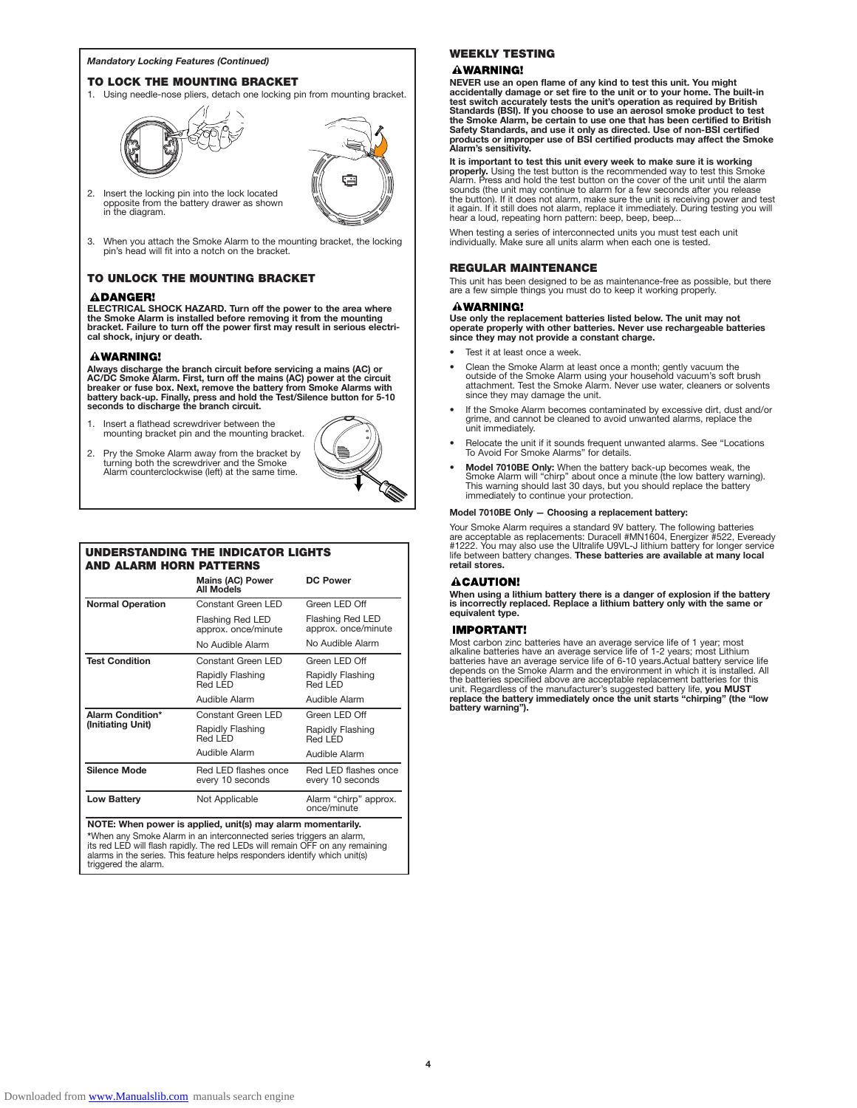#### **TO LOCK THE MOUNTING BRACKET**

1. Using needle-nose pliers, detach one locking pin from mounting bracket.





- 2. Insert the locking pin into the lock located opposite from the battery drawer as shown in the diagram.
- 3. When you attach the Smoke Alarm to the mounting bracket, the locking pin's head will fit into a notch on the bracket.

# **TO UNLOCK THE MOUNTING BRACKET**

#### **ADANGER!**

**ELECTRICAL SHOCK HAZARD. Turn off the power to the area where the Smoke Alarm is installed before removing it from the mounting bracket. Failure to turn off the power first may result in serious electrical shock, injury or death.**

### **AWARNING!**

Always discharge the branch circuit before servicing a mains (AC) or<br>AC/DC Smoke Alarm. First, turn off the mains (AC) power at the circuit<br>breaker or fuse box. Next, remove the battery from Smoke Alarms with **battery back-up. Finally, press and hold the Test/Silence button for 5-10 seconds to discharge the branch circuit.**

- 1. Insert a flathead screwdriver between the mounting bracket pin and the mounting bracket.
- 2. Pry the Smoke Alarm away from the bracket by turning both the screwdriver and the Smoke Alarm counterclockwise (left) at the same time.



| UNDERSTANDING THE INDICATOR LIGHTS<br><b>AND ALARM HORN PATTERNS</b> |                                                                                                                                    |                                          |
|----------------------------------------------------------------------|------------------------------------------------------------------------------------------------------------------------------------|------------------------------------------|
|                                                                      | <b>Mains (AC) Power</b><br><b>All Models</b>                                                                                       | <b>DC Power</b>                          |
| <b>Normal Operation</b>                                              | Constant Green LED                                                                                                                 | Green LED Off                            |
|                                                                      | <b>Flashing Red LED</b><br>approx. once/minute                                                                                     | Flashing Red LED<br>approx. once/minute  |
|                                                                      | No Audible Alarm                                                                                                                   | No Audible Alarm                         |
| <b>Test Condition</b>                                                | Constant Green I FD                                                                                                                | Green LED Off                            |
|                                                                      | Rapidly Flashing<br>Red I FD                                                                                                       | Rapidly Flashing<br>Red LED              |
|                                                                      | Audible Alarm                                                                                                                      | Audible Alarm                            |
| <b>Alarm Condition*</b><br>(Initiating Unit)                         | Constant Green LED                                                                                                                 | Green LED Off                            |
|                                                                      | Rapidly Flashing<br>Red I FD                                                                                                       | Rapidly Flashing<br>Red LED              |
|                                                                      | Audible Alarm                                                                                                                      | Audible Alarm                            |
| <b>Silence Mode</b>                                                  | Red LED flashes once<br>every 10 seconds                                                                                           | Red LED flashes once<br>every 10 seconds |
| <b>Low Battery</b>                                                   | Not Applicable                                                                                                                     | Alarm "chirp" approx.<br>once/minute     |
|                                                                      | NOTE: When power is applied, unit(s) may alarm momentarily.<br>*When any Smoke Alarm in an interconnected series triggers an alarm |                                          |

\*When any Smoke Alarm in an interconnected series triggers an alarm,<br>its red LED will flash rapidly. The red LEDs will remain OFF on any remaining<br>alarms in the series. This feature helps responders identify which unit(s) triggered the alarm.

# **Mandatory Locking Features (Continued) WEEKLY TESTING**<br> **WARNING!**

**NEVER use an open flame of any kind to test this unit. You might accidentally damage or set fire to the unit or to your home. The built-in test switch accurately tests the unit's operation as required by British Standards (BSI). If you choose to use an aerosol smoke product to test the Smoke Alarm, be certain to use one that has been certified to British Safety Standards, and use it only as directed. Use of non-BSI certified products or improper use of BSI certified products may affect the Smoke Alarm's sensitivity.**

**It is important to test this unit every week to make sure it is working**<br>**properly.** Using the test button is the recommended way to test this Smoke<br>Alarm. Press and hold the test button on the cover of the unit until the sounds (the unit may continue to alarm for a few seconds after you release the button). If it does not alarm, make sure the unit is receiving power and test it again. If it still does not alarm, replace it immediately. During testing you will hear a loud, repeating horn pattern: beep, beep, beep...

When testing a series of interconnected units you must test each unit individually. Make sure all units alarm when each one is tested.

### **REGULAR MAINTENANCE**

This unit has been designed to be as maintenance-free as possible, but there are a few simple things you must do to keep it working properly.

# **AWARNING!**

**Use only the replacement batteries listed below. The unit may not operate properly with other batteries. Never use rechargeable batteries since they may not provide a constant charge.**

- Test it at least once a week.
- Clean the Smoke Alarm at least once a month; gently vacuum the outside of the Smoke Alarm using your household vacuum's soft brush attachment. Test the Smoke Alarm. Never use water, cleaners or solvents since they may damage the unit.
- If the Smoke Alarm becomes contaminated by excessive dirt, dust and/or grime, and cannot be cleaned to avoid unwanted alarms, replace the unit immediately.
- Relocate the unit if it sounds frequent unwanted alarms. See "Locations To Avoid For Smoke Alarms" for details.
- **Model 7010BE Only:** When the battery back-up becomes weak, the Smoke Alarm will "chirp" about once a minute (the low battery warning). This warning should last 30 days, but you should replace the battery immediately to continue your protection.

# **Model 7010BE Only — Choosing a replacement battery:**

Your Smoke Alarm requires a standard 9V battery. The following batteries<br>are acceptable as replacements: Duracell #MN1604, Energizer #522, Eveready<br>#1222. You may also use the Ultralife U9VL-J lithium battery for longer se **retail stores.**

# **ACAUTION!**

**When using a lithium battery there is a danger of explosion if the battery is incorrectly replaced. Replace a lithium battery only with the same or equivalent type.**

#### **IMPORTANT!**

Most carbon zinc batteries have an average service life of 1 year; most<br>alkaline batteries have an average service life of 1-2 years; most Lithium<br>batteries have an average service life of 6-10 years.Actual battery service depends on the Smoke Alarm and the environment in which it is installed. All the batteries specified above are acceptable replacement batteries for this unit. Regardless of the manufacturer's suggested battery life, **you MUST replace the battery immediately once the unit starts "chirping" (the "low battery warning").**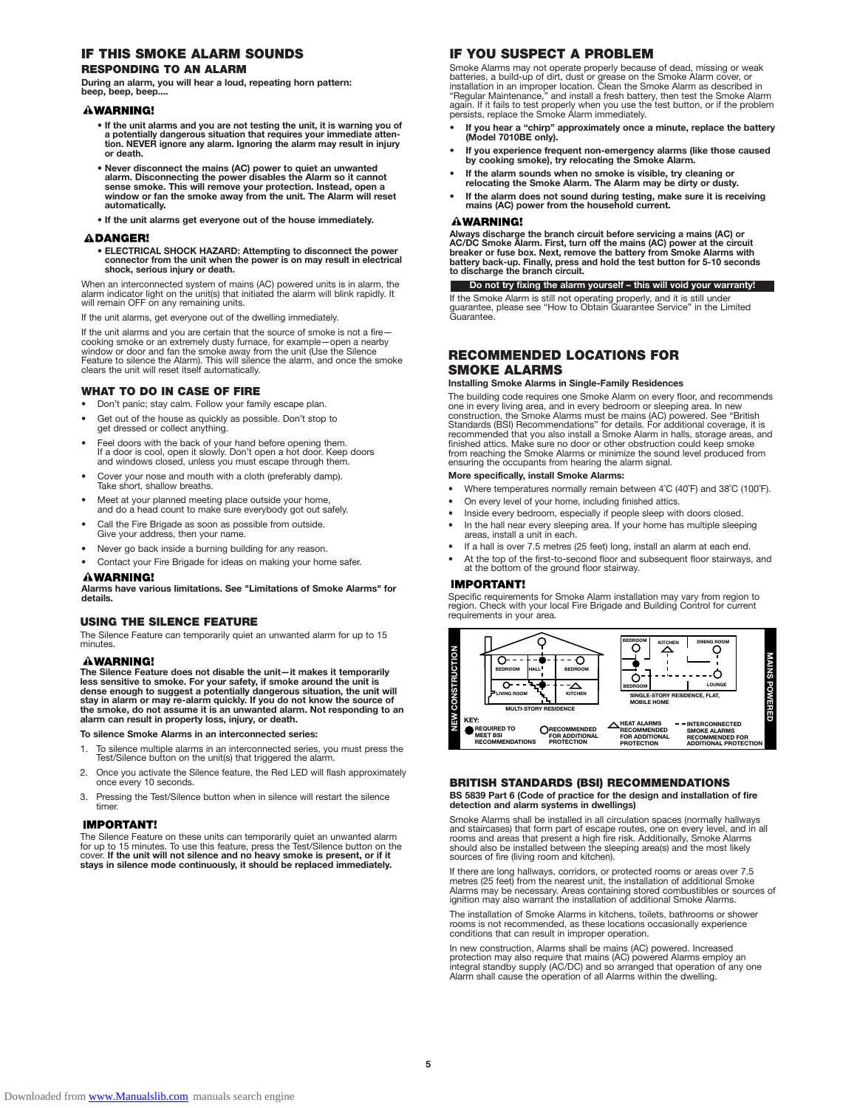# **IF THIS SMOKE ALARM SOUNDS RESPONDING TO AN ALARM**

**During an alarm, you will hear a loud, repeating horn pattern: beep, beep, beep....**

#### **WARNING!**

- If the unit alarms and you are not testing the unit, it is warning you of •<br>a potentially dangerous situation that requires your immediate atten-<br>tion. NEVER ignore any alarm. Ignoring the alarm may result in injury **or death.**
- **Never disconnect the mains (AC) power to quiet an unwanted alarm. Disconnecting the power disables the Alarm so it cannot sense smoke. This will remove your protection. Instead, open a window or fan the smoke away from the unit. The Alarm will reset automatically.**
- **If the unit alarms get everyone out of the house immediately.**

#### **ADANGER!**

**• ELECTRICAL SHOCK HAZARD: Attempting to disconnect the power connector from the unit when the power is on may result in electrical shock, serious injury or death.** 

When an interconnected system of mains (AC) powered units is in alarm, the alarm indicator light on the unit(s) that initiated the alarm will blink rapidly. It will remain OFF on any remaining units.

the unit alarms, get everyone out of the dwelling immediately.

If the unit alarms and you are certain that the source of smoke is not a firecooking smoke or an extremely dusty furnace, for example—open a nearby window or door and fan the smoke away from the unit (Use the Silence Feature to silence the Alarm). This will silence the alarm, and once the smoke clears the unit will reset itself automatically.

### **WHAT TO DO IN CASE OF FIRE**

- Don't panic; stay calm. Follow your family escape plan.
- Get out of the house as quickly as possible. Don't stop to d or collect anything.
- Feel doors with the back of your hand before opening them. If a door is cool, open it slowly. Don't open a hot door. Keep doors and windows closed, unless you must escape through them.
- Cover your nose and mouth with a cloth (preferably damp). Take short, shallow breaths.
- Meet at your planned meeting place outside your home, and do a head count to make sure everybody got out safely.
- Call the Fire Brigade as soon as possible from outside. Give your address, then your name.
- Never go back inside a burning building for any reason.
- Contact your Fire Brigade for ideas on making your home safer.

#### **AWARNING!**

**Alarms have various limitations. See "Limitations of Smoke Alarms" for details.**

#### **USING THE SILENCE FEATURE**

The Silence Feature can temporarily quiet an unwanted alarm for up to 15 minutes.

#### **AWARNING!**

**The Silence Feature does not disable the unit—it makes it temporarily less sensitive to smoke. For your safety, if smoke around the unit is dense enough to suggest a potentially dangerous situation, the unit will stay in alarm or may re-alarm quickly. If you do not know the source of the smoke, do not assume it is an unwanted alarm. Not responding to an alarm can result in property loss, injury, or death.**

**To silence Smoke Alarms in an interconnected series:**

- 1. To silence multiple alarms in an interconnected series, you must press the Test/Silence button on the unit(s) that triggered the alarm.
- 2. Once you activate the Silence feature, the Red LED will flash approximately once every 10 seconds.
- 3. Pressing the Test/Silence button when in silence will restart the silence timer.

#### **IMPORTANT!**

The Silence Feature on these units can temporarily quiet an unwanted alarm for up to 15 minutes. To use this feature, press the Test/Silence button on the cover. **If the unit will not silence and no heavy smoke is present, or if it stays in silence mode continuously, it should be replaced immediately.**

# **IF YOU SUSPECT A PROBLEM**

Smoke Alarms may not operate properly because of dead, missing or weak<br>batteries, a build-up of dirt, dust or grease on the Smoke Alarm cover, or<br>installation in an improper location. Clean the Smoke Alarm as described in<br>

- **• If you hear a "chirp" approximately once a minute, replace the battery (Model 7010BE only).**
- **• If you experience frequent non-emergency alarms (like those caused by cooking smoke), try relocating the Smoke Alarm.**
- **• If the alarm sounds when no smoke is visible, try cleaning or relocating the Smoke Alarm. The Alarm may be dirty or dusty.**
- **• If the alarm does not sound during testing, make sure it is receiving mains (AC) power from the household current.**

# **AWARNING!**

**Always discharge the branch circuit before servicing a mains (AC) or** AC/DC Smoke Alarm. First, turn off the mains (AC) power at the circuit<br>breaker or fuse box. Next, remove the battery from Smoke Alarms with<br>battery back-up. Finally, press and hold the test button for 5-10 seconds<br>to disch

**Do not try fixing the alarm yourself – this will void your warranty!**

If the Smoke Alarm is still not operating properly, and it is still under guarantee, please see "How to Obtain Guarantee Service" in the Limited Guarantee.

# **RECOMMENDED LOCATIONS FOR SMOKE ALARMS**

#### **Installing Smoke Alarms in Single-Family Residences**

The building code requires one Smoke Alarm on every floor, and recommends<br>one in every living area, and in every bedroom or sleeping area. In new<br>construction, the Smoke Alarms must be mains (AC) powered. See "British<br>Stan recommended that you also install a Smoke Alarm in halls, storage areas, and finished attics. Make sure no door or other obstruction could keep smoke from reaching the Smoke Alarms or minimize the sound level produced from ensuring the occupants from hearing the alarm signal.

### **More specifically, install Smoke Alarms:**

- Where temperatures normally remain between 4˚C (40˚F) and 38˚C (100˚F).
- On every level of your home, including finished attics.
- Inside every bedroom, especially if people sleep with doors closed. In the hall near every sleeping area. If your home has multiple sleeping
- areas, install a unit in each. If a hall is over 7.5 metres (25 feet) long, install an alarm at each end.
	- At the top of the first-to-second floor and subsequent floor stairways, and at the bottom of the ground floor stairway.

#### **IMPORTANT!**

Specific requirements for Smoke Alarm installation may vary from region to region. Check with your local Fire Brigade and Building Control for current requirements in your area.



# **BRITISH STANDARDS (BSI) RECOMMENDATIONS**

**BS 5839 Part 6 (Code of practice for the design and installation of fire detection and alarm systems in dwellings)**

Smoke Alarms shall be installed in all circulation spaces (normally hallways and staircases) that form part of escape routes, one on every level, and in all rooms and areas that present a high fire risk. Additionally, Smoke Alarms should also be installed between the sleeping area(s) and the most likely sources of fire (living room and kitchen).

If there are long hallways, corridors, or protected rooms or areas over 7.5 metres (25 feet) from the nearest unit, the installation of additional Smoke Alarms may be necessary. Areas containing stored combustibles or sources of ignition may also warrant the installation of additional Smoke Alarms.

The installation of Smoke Alarms in kitchens, toilets, bathrooms or shower rooms is not recommended, as these locations occasionally experience conditions that can result in improper operation.

In new construction, Alarms shall be mains (AC) powered. Increased<br>protection may also require that mains (AC) powered Alarms employ an<br>integral standby supply (AC/DC) and so arranged that operation of any one Alarm shall cause the operation of all Alarms within the dwelling.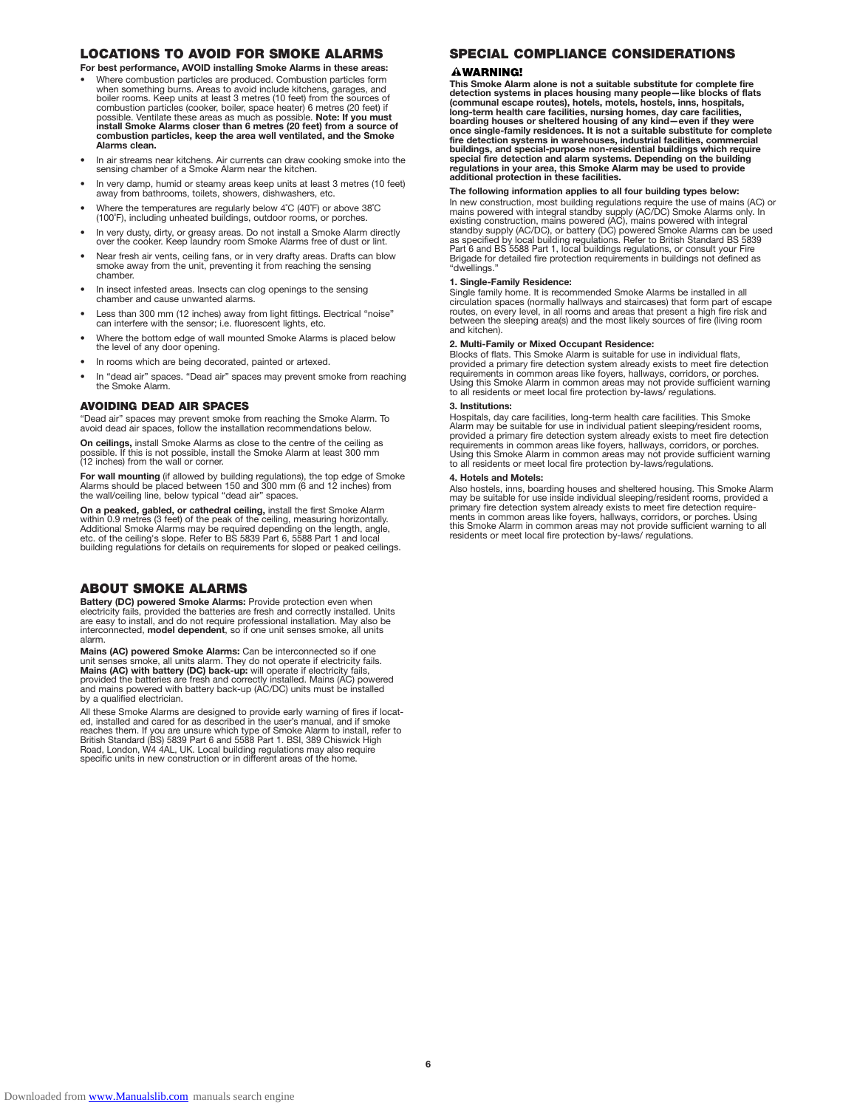# **LOCATIONS TO AVOID FOR SMOKE ALARMS**

**For best performance, AVOID installing Smoke Alarms in these areas:**

- Where combustion particles are produced. Combustion particles form when something burns. Areas to avoid include kitchens, garages, and boiler rooms. Keep units at least 3 metres (10 feet) from the sources of combustion particles (cooker, boiler, space heater) 6 metres (20 feet) if possible. Ventilate these areas as much as possible. **Note: If you must install Smoke Alarms closer than 6 metres (20 feet) from a source of combustion particles, keep the area well ventilated, and the Smoke Alarms clean.**
- In air streams near kitchens. Air currents can draw cooking smoke into the sensing chamber of a Smoke Alarm near the kitchen.
- In very damp, humid or steamy areas keep units at least 3 metres (10 feet) away from bathrooms, toilets, showers, dishwashers, etc.
- Where the temperatures are regularly below 4˚C (40˚F) or above 38˚C (100˚F), including unheated buildings, outdoor rooms, or porches.
- In very dusty, dirty, or greasy areas. Do not install a Smoke Alarm directly over the cooker. Keep laundry room Smoke Alarms free of dust or lint.
- Near fresh air vents, ceiling fans, or in very drafty areas. Drafts can blow smoke away from the unit, preventing it from reaching the sensing chamber.
- In insect infested areas. Insects can clog openings to the sensing chamber and cause unwanted alarms.
- Less than 300 mm (12 inches) away from light fittings. Electrical "noise" can interfere with the sensor; i.e. fluorescent lights, etc.
- Where the bottom edge of wall mounted Smoke Alarms is placed below the level of any door opening.
- In rooms which are being decorated, painted or artexed
- In "dead air" spaces. "Dead air" spaces may prevent smoke from reaching the Smoke Alarm.

#### **AVOIDING DEAD AIR SPACES**

"Dead air" spaces may prevent smoke from reaching the Smoke Alarm. To avoid dead air spaces, follow the installation recommendations below.

**On ceilings,** install Smoke Alarms as close to the centre of the ceiling as possible. If this is not possible, install the Smoke Alarm at least 300 mm (12 inches) from the wall or corner.

**For wall mounting** (if allowed by building regulations), the top edge of Smoke<br>Alarms should be placed between 150 and 300 mm (6 and 12 inches) from<br>the wall/ceiling line, below typical "dead air" spaces.

**On a peaked, gabled, or cathedral ceiling,** install the first Smoke Alarm within 0.9 metres (3 feet) of the peak of the ceiling, measuring horizontally.<br>Additional Smoke Alarms may be required depending on the length, angle,<br>etc. of the ceiling's slope. Refer to BS 5839 Part 6, 5588 Part 1 and l

### **ABOUT SMOKE ALARMS**

**Battery (DC) powered Smoke Alarms: Provide protection even when** electricity fails, provided the batteries are fresh and correctly installed. Units are easy to install, and do not require professional installation. May also be interconnected, **model dependent**, so if one unit senses smoke, all units alarm.

Mains (AC) powered Smoke Alarms: Can be interconnected so if one unit senses smoke, all units alarm. They do not operate if electricity falls. Mains (AC) with battery (DC) back-up: will operate if electricity falls, provid

All these Smoke Alarms are designed to provide early warning of fires if locat-ed, installed and cared for as described in the user's manual, and if smoke reaches them. If you are unsure which type of Smoke Alarm to install, refer to<br>British Standard (BS) 5839 Part 6 and 5588 Part 1. BSI, 389 Chiswick High<br>Road, London, W4 4AL, UK. Local building regulations may also require

# **SPECIAL COMPLIANCE CONSIDERATIONS**

#### **AWARNING!**

This Smoke Alarm alone is not a suitable substitute for complete fire<br>detection systems in places housing many people—like blocks of flats<br>(communal escape routes), hotels, motels, hostels, inns, hospitals,<br>long-term healt **once single-family residences. It is not a suitable substitute for complete fire detection systems in warehouses, industrial facilities, commercial** buildings, and special-purpose non-residential buildings which require<br>special fire detection and alarm systems. Depending on the building<br>regulations in your area, this Smoke Alarm may be used to provide<br>additional protec

#### **The following information applies to all four building types below:**

In new construction, most building regulations require the use of mains (AC) or<br>mains powered with integral standby supply (AC/DC) Smoke Alarms only. In<br>existing construction, mains powered (AC), mains powered with integra "dwellings."

#### **1. Single-Family Residence:**

Single family home. It is recommended Smoke Alarms be installed in all circulation spaces (normally hallways and staircases) that form part of escape routes, on every level, in all rooms and areas that present a high fire risk and between the sleeping area(s) and the most likely sources of fire (living room and kitchen).

# **2. Multi-Family or Mixed Occupant Residence:**

Blocks of flats. This Smoke Alarm is suitable for use in individual flats, provided a primary fire detection system already exists to meet fire detection requirements in common areas like foyers, hallways, corridors, or porches. Using this Smoke Alarm in common areas may not provide sufficient warning to all residents or meet local fire protection by-laws/ regulations.

#### **3. Institutions:**

Hospitals, day care facilities, long-term health care facilities. This Smoke<br>Alarm may be suitable for use in individual patient sleeping/resident rooms,<br>provided a primary fire detection system already exists to meet fire to all residents or meet local fire protection by-laws/regulations.

#### **4. Hotels and Motels:**

Also hostels, inns, boarding houses and sheltered housing. This Smoke Alarm may be suitable for use inside individual sleeping/resident rooms, provided a primary fire detection system already exists to meet fire detection require-ments in common areas like foyers, hallways, corridors, or porches. Using this Smoke Alarm in common areas may not provide sufficient warning to all residents or meet local fire protection by-laws/ regulations.